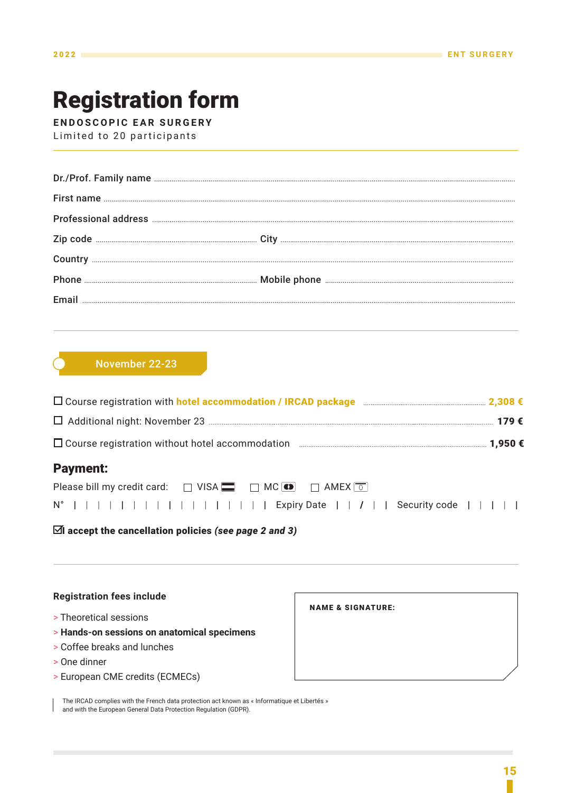$2022$ 

# **Registration form**

**ENDOSCOPIC EAR SURGERY** 

Limited to 20 participants

| $\textbf{Dr.}/\textbf{Prof.} \textbf{ Family name} \textit{} \textit{} \textit{} \textit{} \textit{} \textit{} \textit{} \textit{} \textit{} \textit{} \textit{} \textit{} \textit{} \textit{} \textit{} \textit{} \textit{} \textit{} \textit{} \textit{} \textit{} \textit{} \textit{} \textit{} \textit{} \textit{} \textit{} \textit{} \textit{} \textit{} \textit{} \textit{} \textit{} \$ |
|-------------------------------------------------------------------------------------------------------------------------------------------------------------------------------------------------------------------------------------------------------------------------------------------------------------------------------------------------------------------------------------------------|
|                                                                                                                                                                                                                                                                                                                                                                                                 |
|                                                                                                                                                                                                                                                                                                                                                                                                 |
|                                                                                                                                                                                                                                                                                                                                                                                                 |
|                                                                                                                                                                                                                                                                                                                                                                                                 |
|                                                                                                                                                                                                                                                                                                                                                                                                 |
|                                                                                                                                                                                                                                                                                                                                                                                                 |

|                                                                                             | 179€ |
|---------------------------------------------------------------------------------------------|------|
| □ Course registration without hotel accommodation manufaction manufactured and the 1,950 €  |      |
| <b>Payment:</b>                                                                             |      |
| Please bill my credit card: $\Box$ VISA $\Box$ $\Box$ MC $\Box$ $\Box$ AMEX $\boxed{\circ}$ |      |
| $N^{\circ}$                               Expiry Date     /     Security code               |      |

 $\overline{\boxtimes}$ l accept the cancellation policies (see page 2 and 3)

#### **Registration fees include**

- > Theoretical sessions
- > Hands-on sessions on anatomical specimens
- > Coffee breaks and lunches
- > One dinner
- > European CME credits (ECMECs)

The IRCAD complies with the French data protection act known as « Informatique et Libertés » and with the European General Data Protection Regulation (GDPR).

**NAME & SIGNATURE:**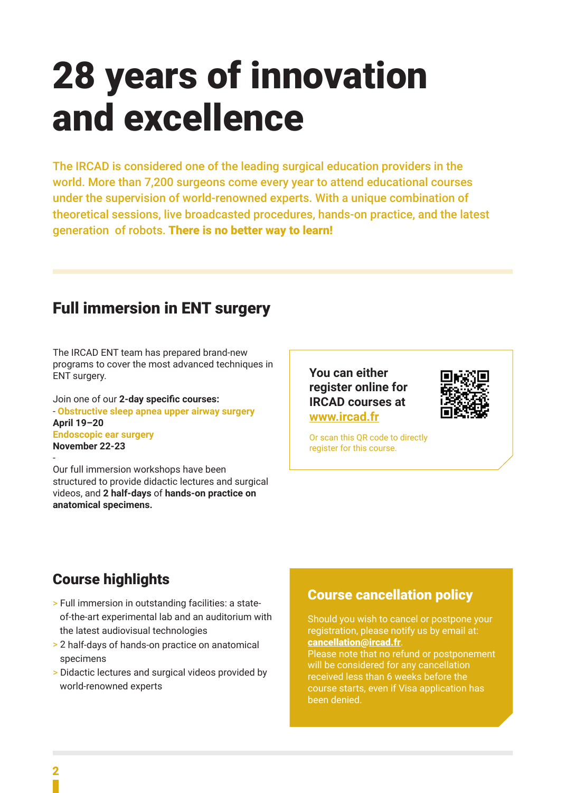# 28 years of innovation and excellence

The IRCAD is considered one of the leading surgical education providers in the world. More than 7,200 surgeons come every year to attend educational courses under the supervision of world-renowned experts. With a unique combination of theoretical sessions, live broadcasted procedures, hands-on practice, and the latest generation of robots. There is no better way to learn!

#### Full immersion in ENT surgery

The IRCAD ENT team has prepared brand-new programs to cover the most advanced techniques in ENT surgery.

Join one of our **2-day specific courses:** - **Obstructive sleep apnea upper airway surgery April 19–20 Endoscopic ear surgery November 22-23**

- Our full immersion workshops have been structured to provide didactic lectures and surgical videos, and **2 half-days** of **hands-on practice on anatomical specimens.**

**You can either register online for IRCAD courses at www.ircad.fr**



Or scan this QR code to directly register for this course.

### Course highlights

- > Full immersion in outstanding facilities: a state of-the-art experimental lab and an auditorium with the latest audiovisual technologies
- > 2 half-days of hands-on practice on anatomical specimens
- > Didactic lectures and surgical videos provided by world-renowned experts

#### Course cancellation policy

Should you wish to cancel or postpone your registration, please notify us by email at: cancellation@ircad.fr. Please note that no refund or postponement

will be considered for any cancellation received less than 6 weeks before the course starts, even if Visa application has been denied.